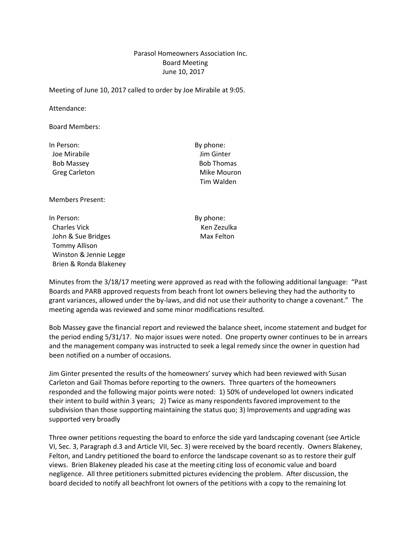## Parasol Homeowners Association Inc. Board Meeting June 10, 2017

Meeting of June 10, 2017 called to order by Joe Mirabile at 9:05.

Attendance:

Board Members:

In Person: By phone: Joe Mirabile Jim Ginter Bob Massey **Bob Thomas** 

Greg Carleton **Mike Mouron** Tim Walden

Members Present:

In Person: By phone: Charles Vick **Ken Zezulka** John & Sue Bridges Max Felton Tommy Allison Winston & Jennie Legge Brien & Ronda Blakeney

Minutes from the 3/18/17 meeting were approved as read with the following additional language: "Past Boards and PARB approved requests from beach front lot owners believing they had the authority to grant variances, allowed under the by-laws, and did not use their authority to change a covenant." The meeting agenda was reviewed and some minor modifications resulted.

Bob Massey gave the financial report and reviewed the balance sheet, income statement and budget for the period ending 5/31/17. No major issues were noted. One property owner continues to be in arrears and the management company was instructed to seek a legal remedy since the owner in question had been notified on a number of occasions.

Jim Ginter presented the results of the homeowners' survey which had been reviewed with Susan Carleton and Gail Thomas before reporting to the owners. Three quarters of the homeowners responded and the following major points were noted: 1) 50% of undeveloped lot owners indicated their intent to build within 3 years; 2) Twice as many respondents favored improvement to the subdivision than those supporting maintaining the status quo; 3) Improvements and upgrading was supported very broadly

Three owner petitions requesting the board to enforce the side yard landscaping covenant (see Article VI, Sec. 3, Paragraph d.3 and Article VII, Sec. 3) were received by the board recently. Owners Blakeney, Felton, and Landry petitioned the board to enforce the landscape covenant so as to restore their gulf views. Brien Blakeney pleaded his case at the meeting citing loss of economic value and board negligence. All three petitioners submitted pictures evidencing the problem. After discussion, the board decided to notify all beachfront lot owners of the petitions with a copy to the remaining lot